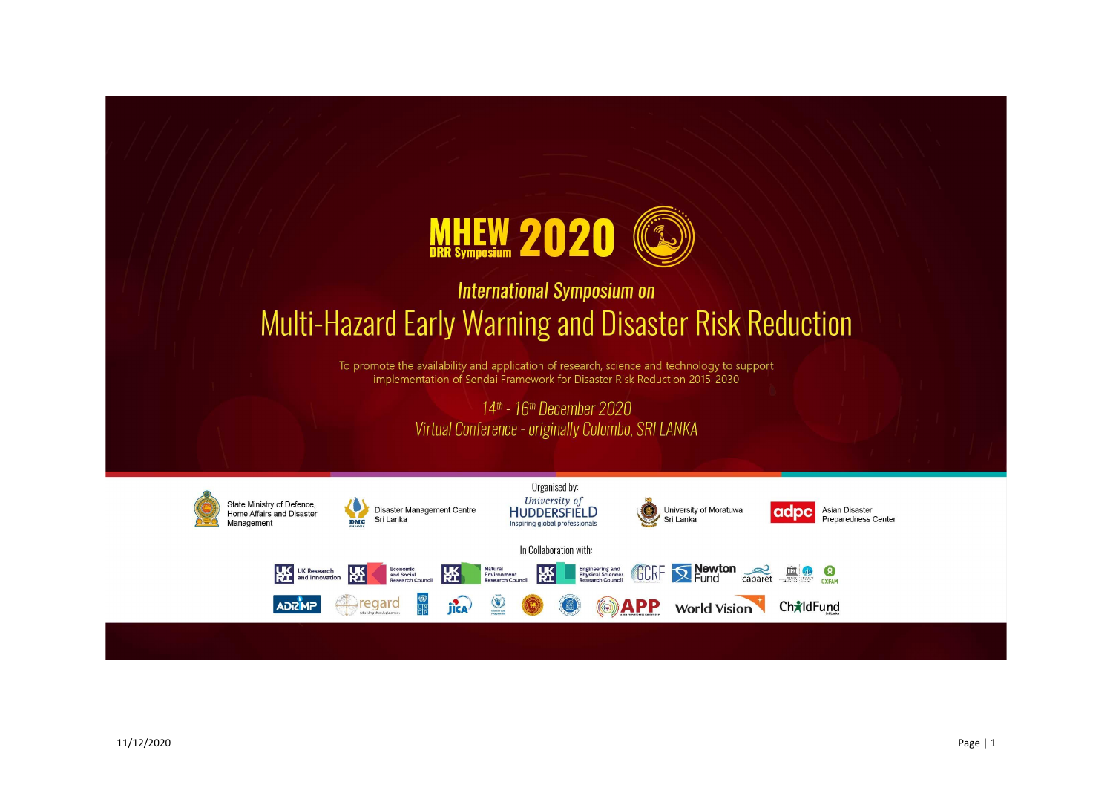

# **International Symposium on** Multi-Hazard Early Warning and Disaster Risk Reduction

To promote the availability and application of research, science and technology to support implementation of Sendai Framework for Disaster Risk Reduction 2015-2030

# 14th - 16th December 2020 Virtual Conference - originally Colombo, SRI LANKA



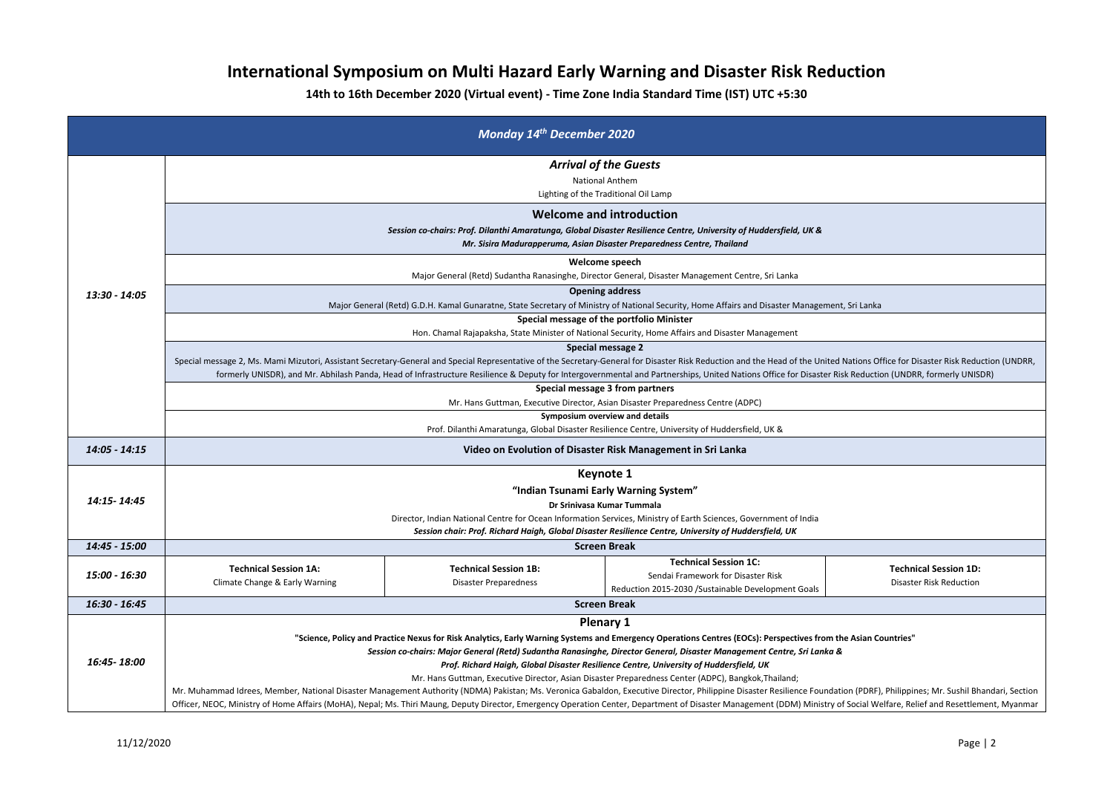# **International Symposium on Multi Hazard Early Warning and Disaster Risk Reduction**

**14th to 16th December 2020 (Virtual event) - Time Zone India Standard Time (IST) UTC +5:30**

| าt, Sri Lanka                                                                                                 |
|---------------------------------------------------------------------------------------------------------------|
|                                                                                                               |
| d Nations Office for Disaster Risk Reduction (UNDRR,<br>lisk Reduction (UNDRR, formerly UNISDR)               |
|                                                                                                               |
|                                                                                                               |
|                                                                                                               |
|                                                                                                               |
|                                                                                                               |
|                                                                                                               |
|                                                                                                               |
| <b>Technical Session 1D:</b>                                                                                  |
| <b>Disaster Risk Reduction</b>                                                                                |
|                                                                                                               |
| the Asian Countries"<br>8                                                                                     |
| tion (PDRF), Philippines; Mr. Sushil Bhandari, Section<br>of Social Welfare, Relief and Resettlement, Myanmar |

|               |                                                                                                                                                                                                                                                                                                                                                                                                                                                                       | <b>Monday 14th December 2020</b>                             |                                                                                                                                                                                                                           |                                                                |
|---------------|-----------------------------------------------------------------------------------------------------------------------------------------------------------------------------------------------------------------------------------------------------------------------------------------------------------------------------------------------------------------------------------------------------------------------------------------------------------------------|--------------------------------------------------------------|---------------------------------------------------------------------------------------------------------------------------------------------------------------------------------------------------------------------------|----------------------------------------------------------------|
|               | <b>Arrival of the Guests</b><br><b>National Anthem</b><br>Lighting of the Traditional Oil Lamp                                                                                                                                                                                                                                                                                                                                                                        |                                                              |                                                                                                                                                                                                                           |                                                                |
|               | Welcome and introduction<br>Session co-chairs: Prof. Dilanthi Amaratunga, Global Disaster Resilience Centre, University of Huddersfield, UK &<br>Mr. Sisira Madurapperuma, Asian Disaster Preparedness Centre, Thailand                                                                                                                                                                                                                                               |                                                              |                                                                                                                                                                                                                           |                                                                |
|               |                                                                                                                                                                                                                                                                                                                                                                                                                                                                       |                                                              | Welcome speech                                                                                                                                                                                                            |                                                                |
|               |                                                                                                                                                                                                                                                                                                                                                                                                                                                                       |                                                              | Major General (Retd) Sudantha Ranasinghe, Director General, Disaster Management Centre, Sri Lanka                                                                                                                         |                                                                |
| 13:30 - 14:05 |                                                                                                                                                                                                                                                                                                                                                                                                                                                                       |                                                              | <b>Opening address</b>                                                                                                                                                                                                    |                                                                |
|               |                                                                                                                                                                                                                                                                                                                                                                                                                                                                       |                                                              | Major General (Retd) G.D.H. Kamal Gunaratne, State Secretary of Ministry of National Security, Home Affairs and Disaster Management, Sri Lanka                                                                            |                                                                |
|               |                                                                                                                                                                                                                                                                                                                                                                                                                                                                       |                                                              | Special message of the portfolio Minister                                                                                                                                                                                 |                                                                |
|               |                                                                                                                                                                                                                                                                                                                                                                                                                                                                       |                                                              | Hon. Chamal Rajapaksha, State Minister of National Security, Home Affairs and Disaster Management                                                                                                                         |                                                                |
|               | <b>Special message 2</b><br>Special message 2, Ms. Mami Mizutori, Assistant Secretary-General and Special Representative of the Secretary-General for Disaster Risk Reduction and the Head of the United Nations Office for Disaster Risk Reduction (UNDRR<br>formerly UNISDR), and Mr. Abhilash Panda, Head of Infrastructure Resilience & Deputy for Intergovernmental and Partnerships, United Nations Office for Disaster Risk Reduction (UNDRR, formerly UNISDR) |                                                              |                                                                                                                                                                                                                           |                                                                |
|               |                                                                                                                                                                                                                                                                                                                                                                                                                                                                       |                                                              | Special message 3 from partners                                                                                                                                                                                           |                                                                |
|               |                                                                                                                                                                                                                                                                                                                                                                                                                                                                       |                                                              | Mr. Hans Guttman, Executive Director, Asian Disaster Preparedness Centre (ADPC)                                                                                                                                           |                                                                |
|               |                                                                                                                                                                                                                                                                                                                                                                                                                                                                       |                                                              | Symposium overview and details                                                                                                                                                                                            |                                                                |
|               | Prof. Dilanthi Amaratunga, Global Disaster Resilience Centre, University of Huddersfield, UK &                                                                                                                                                                                                                                                                                                                                                                        |                                                              |                                                                                                                                                                                                                           |                                                                |
| 14:05 - 14:15 | Video on Evolution of Disaster Risk Management in Sri Lanka                                                                                                                                                                                                                                                                                                                                                                                                           |                                                              |                                                                                                                                                                                                                           |                                                                |
|               |                                                                                                                                                                                                                                                                                                                                                                                                                                                                       |                                                              | Keynote 1                                                                                                                                                                                                                 |                                                                |
|               |                                                                                                                                                                                                                                                                                                                                                                                                                                                                       |                                                              | "Indian Tsunami Early Warning System"                                                                                                                                                                                     |                                                                |
| 14:15-14:45   |                                                                                                                                                                                                                                                                                                                                                                                                                                                                       |                                                              | Dr Srinivasa Kumar Tummala                                                                                                                                                                                                |                                                                |
|               | Director, Indian National Centre for Ocean Information Services, Ministry of Earth Sciences, Government of India                                                                                                                                                                                                                                                                                                                                                      |                                                              |                                                                                                                                                                                                                           |                                                                |
|               |                                                                                                                                                                                                                                                                                                                                                                                                                                                                       |                                                              | Session chair: Prof. Richard Haigh, Global Disaster Resilience Centre, University of Huddersfield, UK                                                                                                                     |                                                                |
| 14:45 - 15:00 |                                                                                                                                                                                                                                                                                                                                                                                                                                                                       |                                                              | <b>Screen Break</b>                                                                                                                                                                                                       |                                                                |
| 15:00 - 16:30 | <b>Technical Session 1A:</b><br>Climate Change & Early Warning                                                                                                                                                                                                                                                                                                                                                                                                        | <b>Technical Session 1B:</b><br><b>Disaster Preparedness</b> | <b>Technical Session 1C:</b><br>Sendai Framework for Disaster Risk<br>Reduction 2015-2030 /Sustainable Development Goals                                                                                                  | <b>Technical Session 1D:</b><br><b>Disaster Risk Reduction</b> |
| 16:30 - 16:45 | <b>Screen Break</b>                                                                                                                                                                                                                                                                                                                                                                                                                                                   |                                                              |                                                                                                                                                                                                                           |                                                                |
|               |                                                                                                                                                                                                                                                                                                                                                                                                                                                                       |                                                              | <b>Plenary 1</b>                                                                                                                                                                                                          |                                                                |
|               |                                                                                                                                                                                                                                                                                                                                                                                                                                                                       |                                                              | "Science, Policy and Practice Nexus for Risk Analytics, Early Warning Systems and Emergency Operations Centres (EOCs): Perspectives from the Asian Countries"                                                             |                                                                |
|               | Session co-chairs: Major General (Retd) Sudantha Ranasinghe, Director General, Disaster Management Centre, Sri Lanka &                                                                                                                                                                                                                                                                                                                                                |                                                              |                                                                                                                                                                                                                           |                                                                |
| 16:45-18:00   | Prof. Richard Haigh, Global Disaster Resilience Centre, University of Huddersfield, UK                                                                                                                                                                                                                                                                                                                                                                                |                                                              |                                                                                                                                                                                                                           |                                                                |
|               | Mr. Hans Guttman, Executive Director, Asian Disaster Preparedness Center (ADPC), Bangkok, Thailand;<br>Mr. Muhammad Idrees, Member, National Disaster Management Authority (NDMA) Pakistan; Ms. Veronica Gabaldon, Executive Director, Philippine Disaster Resilience Foundation (PDRF), Philippines; Mr. Sushil Bhandari, Section                                                                                                                                    |                                                              |                                                                                                                                                                                                                           |                                                                |
|               |                                                                                                                                                                                                                                                                                                                                                                                                                                                                       |                                                              | Officer, NEOC, Ministry of Home Affairs (MoHA), Nepal; Ms. Thiri Maung, Deputy Director, Emergency Operation Center, Department of Disaster Management (DDM) Ministry of Social Welfare, Relief and Resettlement, Myanmar |                                                                |
|               |                                                                                                                                                                                                                                                                                                                                                                                                                                                                       |                                                              |                                                                                                                                                                                                                           |                                                                |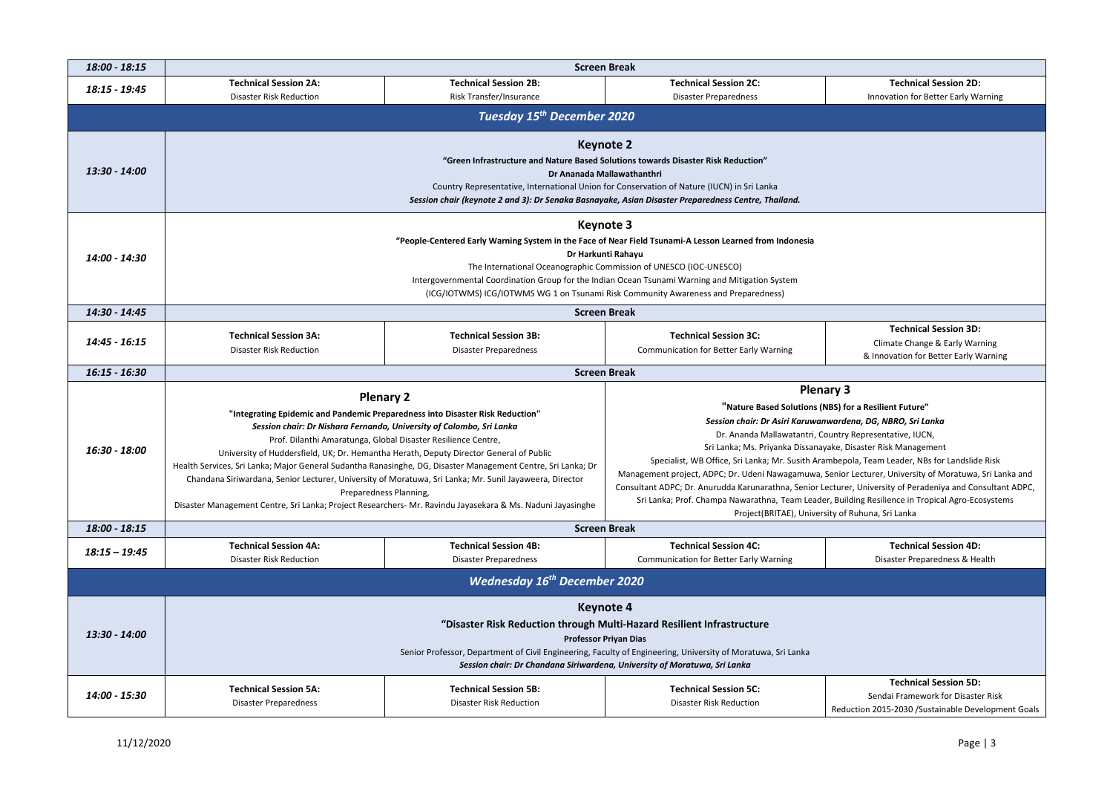### **Technical Session 2D:** Innovation for Better Early Warning

### **Technical Session 3D:** Climate Change & Early Warning & Innovation for Better Early Warning

| 18:00 - 18:15   | <b>Screen Break</b>                                                                                                                                                                                                                                                                                                                                                                                             |                                                                                                                                                                                                                                                                                                                                                                                                                                                                                                                                                                                                                                                                                                         |                                                                                                                                                                                                                                                                                                                                                                                                                          |  |
|-----------------|-----------------------------------------------------------------------------------------------------------------------------------------------------------------------------------------------------------------------------------------------------------------------------------------------------------------------------------------------------------------------------------------------------------------|---------------------------------------------------------------------------------------------------------------------------------------------------------------------------------------------------------------------------------------------------------------------------------------------------------------------------------------------------------------------------------------------------------------------------------------------------------------------------------------------------------------------------------------------------------------------------------------------------------------------------------------------------------------------------------------------------------|--------------------------------------------------------------------------------------------------------------------------------------------------------------------------------------------------------------------------------------------------------------------------------------------------------------------------------------------------------------------------------------------------------------------------|--|
| 18:15 - 19:45   | <b>Technical Session 2A:</b><br><b>Disaster Risk Reduction</b>                                                                                                                                                                                                                                                                                                                                                  | <b>Technical Session 2B:</b><br>Risk Transfer/Insurance                                                                                                                                                                                                                                                                                                                                                                                                                                                                                                                                                                                                                                                 | <b>Technical Session 2C:</b><br><b>Disaster Preparedness</b>                                                                                                                                                                                                                                                                                                                                                             |  |
|                 |                                                                                                                                                                                                                                                                                                                                                                                                                 | Tuesday 15 <sup>th</sup> December 2020                                                                                                                                                                                                                                                                                                                                                                                                                                                                                                                                                                                                                                                                  |                                                                                                                                                                                                                                                                                                                                                                                                                          |  |
| 13:30 - 14:00   |                                                                                                                                                                                                                                                                                                                                                                                                                 |                                                                                                                                                                                                                                                                                                                                                                                                                                                                                                                                                                                                                                                                                                         | <b>Keynote 2</b><br>"Green Infrastructure and Nature Based Solutions towards Disaster Risk Reduction"<br>Dr Ananada Mallawathanthri<br>Country Representative, International Union for Conservation of Nature (IUCN) in Sri Lanka<br>Session chair (keynote 2 and 3): Dr Senaka Basnayake, Asian Disaster Preparedness Centre, Thailand.                                                                                 |  |
| 14:00 - 14:30   | <b>Keynote 3</b><br>"People-Centered Early Warning System in the Face of Near Field Tsunami-A Lesson Learned from Indonesia<br>Dr Harkunti Rahayu<br>The International Oceanographic Commission of UNESCO (IOC-UNESCO)<br>Intergovernmental Coordination Group for the Indian Ocean Tsunami Warning and Mitigation System<br>(ICG/IOTWMS) ICG/IOTWMS WG 1 on Tsunami Risk Community Awareness and Preparedness) |                                                                                                                                                                                                                                                                                                                                                                                                                                                                                                                                                                                                                                                                                                         |                                                                                                                                                                                                                                                                                                                                                                                                                          |  |
| 14:30 - 14:45   |                                                                                                                                                                                                                                                                                                                                                                                                                 |                                                                                                                                                                                                                                                                                                                                                                                                                                                                                                                                                                                                                                                                                                         | <b>Screen Break</b>                                                                                                                                                                                                                                                                                                                                                                                                      |  |
| 14:45 - 16:15   | <b>Technical Session 3A:</b><br><b>Disaster Risk Reduction</b>                                                                                                                                                                                                                                                                                                                                                  | <b>Technical Session 3B:</b><br><b>Disaster Preparedness</b>                                                                                                                                                                                                                                                                                                                                                                                                                                                                                                                                                                                                                                            | <b>Technical Session 3C:</b><br><b>Communication for Better Early Warning</b>                                                                                                                                                                                                                                                                                                                                            |  |
| 16:15 - 16:30   |                                                                                                                                                                                                                                                                                                                                                                                                                 |                                                                                                                                                                                                                                                                                                                                                                                                                                                                                                                                                                                                                                                                                                         | <b>Screen Break</b>                                                                                                                                                                                                                                                                                                                                                                                                      |  |
| 16:30 - 18:00   |                                                                                                                                                                                                                                                                                                                                                                                                                 | <b>Plenary 2</b><br>"Integrating Epidemic and Pandemic Preparedness into Disaster Risk Reduction"<br>Session chair: Dr Nishara Fernando, University of Colombo, Sri Lanka<br>Prof. Dilanthi Amaratunga, Global Disaster Resilience Centre,<br>University of Huddersfield, UK; Dr. Hemantha Herath, Deputy Director General of Public<br>Health Services, Sri Lanka; Major General Sudantha Ranasinghe, DG, Disaster Management Centre, Sri Lanka; Dr<br>Chandana Siriwardana, Senior Lecturer, University of Moratuwa, Sri Lanka; Mr. Sunil Jayaweera, Director<br>Preparedness Planning,<br>Disaster Management Centre, Sri Lanka; Project Researchers- Mr. Ravindu Jayasekara & Ms. Naduni Jayasinghe | Plenary<br>"Nature Based Solutions (NBS)<br>Session chair: Dr Asiri Karuwanwar<br>Dr. Ananda Mallawatantri, Count<br>Sri Lanka; Ms. Priyanka Dissanayake<br>Specialist, WB Office, Sri Lanka; Mr. Susith Arambe<br>Management project, ADPC; Dr. Udeni Nawagamuwa, Seni<br>Consultant ADPC; Dr. Anurudda Karunarathna, Senior Lectu<br>Sri Lanka; Prof. Champa Nawarathna, Team Leader, B<br>Project(BRITAE), University |  |
| 18:00 - 18:15   |                                                                                                                                                                                                                                                                                                                                                                                                                 | <b>Screen Break</b>                                                                                                                                                                                                                                                                                                                                                                                                                                                                                                                                                                                                                                                                                     |                                                                                                                                                                                                                                                                                                                                                                                                                          |  |
| $18:15 - 19:45$ | <b>Technical Session 4A:</b><br><b>Disaster Risk Reduction</b>                                                                                                                                                                                                                                                                                                                                                  | <b>Technical Session 4B:</b><br><b>Disaster Preparedness</b>                                                                                                                                                                                                                                                                                                                                                                                                                                                                                                                                                                                                                                            | <b>Technical Session 4C:</b><br><b>Communication for Better Early Warning</b>                                                                                                                                                                                                                                                                                                                                            |  |
|                 |                                                                                                                                                                                                                                                                                                                                                                                                                 | <b>Wednesday 16<sup>th</sup> December 2020</b>                                                                                                                                                                                                                                                                                                                                                                                                                                                                                                                                                                                                                                                          |                                                                                                                                                                                                                                                                                                                                                                                                                          |  |
| 13:30 - 14:00   |                                                                                                                                                                                                                                                                                                                                                                                                                 |                                                                                                                                                                                                                                                                                                                                                                                                                                                                                                                                                                                                                                                                                                         | <b>Keynote 4</b><br>"Disaster Risk Reduction through Multi-Hazard Resilient Infrastructure<br><b>Professor Priyan Dias</b><br>Senior Professor, Department of Civil Engineering, Faculty of Engineering, University of Moratuwa, Sri Lanka<br>Session chair: Dr Chandana Siriwardena, University of Moratuwa, Sri Lanka                                                                                                  |  |
| 14:00 - 15:30   | <b>Technical Session 5A:</b><br><b>Disaster Preparedness</b>                                                                                                                                                                                                                                                                                                                                                    | <b>Technical Session 5B:</b><br><b>Disaster Risk Reduction</b>                                                                                                                                                                                                                                                                                                                                                                                                                                                                                                                                                                                                                                          | <b>Technical Session 5C:</b><br><b>Disaster Risk Reduction</b><br>Re                                                                                                                                                                                                                                                                                                                                                     |  |

Sendai Framework for Disaster Risk eduction 2015-2030 /Sustainable Development Goals

### **Plenary 3**

### **for a Resilient Future"**

*Session chair: Dr Asiri Karuwanwardena, DG, NBRO, Sri Lanka*

Itry Representative, IUCN,

, Disaster Risk Management epola, Team Leader, NBs for Landslide Risk nior Lecturer, University of Moratuwa, Sri Lanka and urer, University of Peradeniya and Consultant ADPC, uilding Resilience in Tropical Agro-Ecosystems of Ruhuna, Sri Lanka

> **Technical Session 4D:** Disaster Preparedness & Health

### **Technical Session 5D:**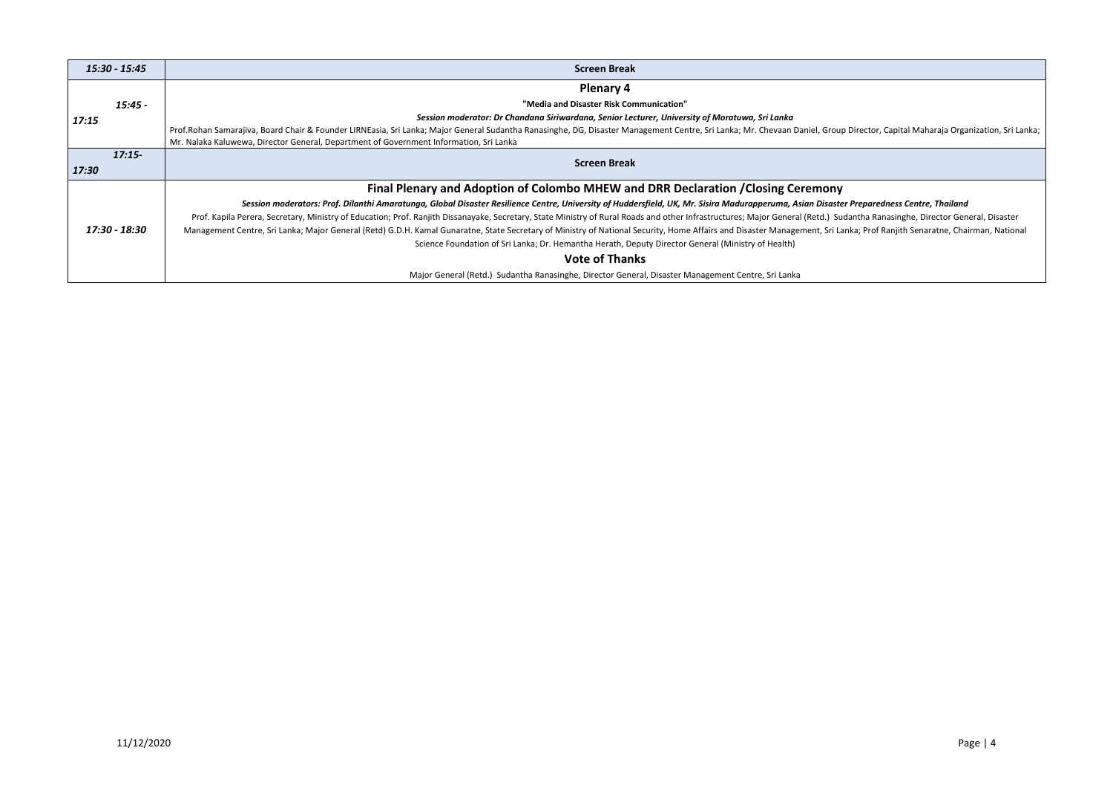ap Director, Capital Maharaja Organization, Sri Lanka; Management Centre, Disaster Management Centre, Sri Lanka

### *Session moderators: Prof. Dilanthi Amaratunga, Global Disaster Resilience Centre, University of Huddersfield, UK, Mr. Sisira Madurapperuma, Asian Disaster Preparedness Centre, Thailand*

udantha Ranasinghe, Director General, Disaster anka; Prof Ranjith Senaratne, Chairman, National Secretary of National Security, Home Affairs and Disaster Man

| 15:30 - 15:45     | <b>Screen Break</b>                                                                                                                                                                                                                                                  |
|-------------------|----------------------------------------------------------------------------------------------------------------------------------------------------------------------------------------------------------------------------------------------------------------------|
|                   | <b>Plenary 4</b>                                                                                                                                                                                                                                                     |
| $15:45 -$         | "Media and Disaster Risk Communication"                                                                                                                                                                                                                              |
| 17:15             | Session moderator: Dr Chandana Siriwardana, Senior Lecturer, University of Moratuwa, Sri Lanka                                                                                                                                                                       |
|                   | Prof.Rohan Samarajiva, Board Chair & Founder LIRNEasia, Sri Lanka; Major General Sudantha Ranasinghe, DG, Disaster Management Centre, Sri Lanka; Mr. Chevaan Daniel, Group<br>Mr. Nalaka Kaluwewa, Director General, Department of Government Information, Sri Lanka |
| $17:15-$<br>17:30 | <b>Screen Break</b>                                                                                                                                                                                                                                                  |
|                   | Final Plenary and Adoption of Colombo MHEW and DRR Declaration / Closing Ceremony                                                                                                                                                                                    |
|                   | Session moderators: Prof. Dilanthi Amaratunga, Global Disaster Resilience Centre, University of Huddersfield, UK, Mr. Sisira Madurapperuma, Asian Disaste                                                                                                            |
|                   | Prof. Kapila Perera, Secretary, Ministry of Education; Prof. Ranjith Dissanayake, Secretary, State Ministry of Rural Roads and other Infrastructures; Major General (Retd.) Su                                                                                       |
| 17:30 - 18:30     | Management Centre, Sri Lanka; Major General (Retd) G.D.H. Kamal Gunaratne, State Secretary of Ministry of National Security, Home Affairs and Disaster Management, Sri La                                                                                            |
|                   | Science Foundation of Sri Lanka; Dr. Hemantha Herath, Deputy Director General (Ministry of Health)                                                                                                                                                                   |
|                   | <b>Vote of Thanks</b>                                                                                                                                                                                                                                                |
|                   | Major General (Retd.) Sudantha Ranasinghe, Director General, Disaster Management Centre, Sri Lanka                                                                                                                                                                   |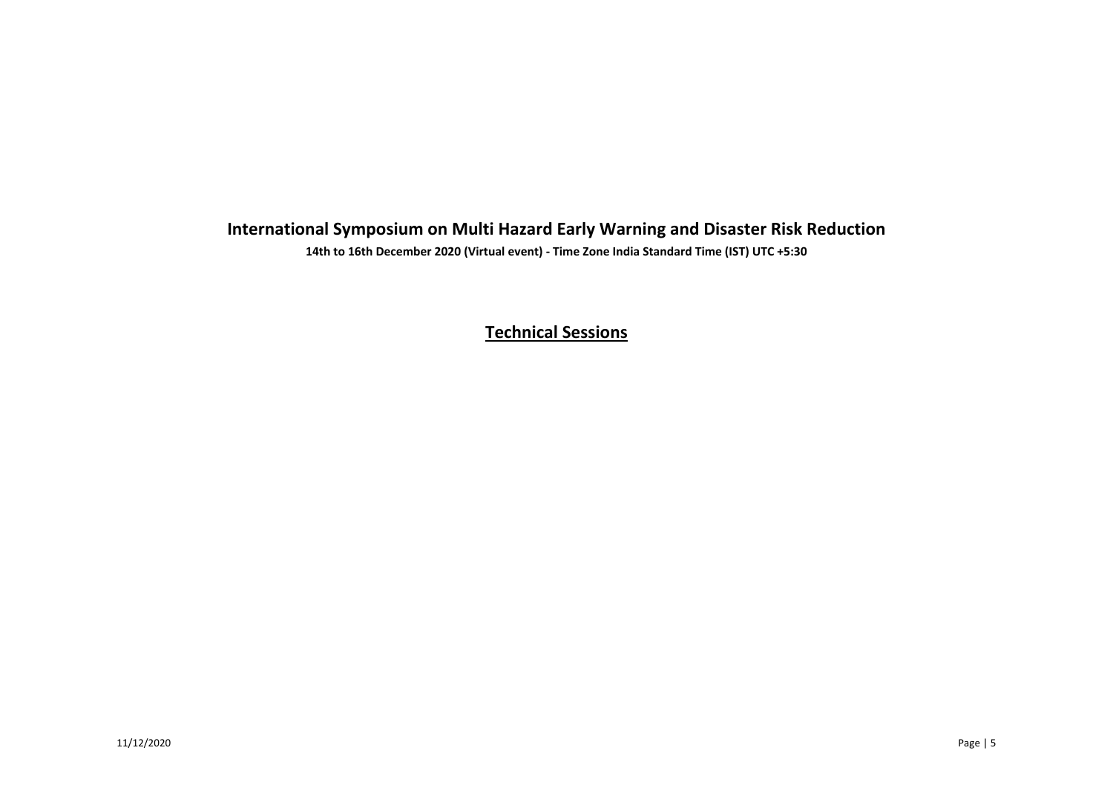## **International Symposium on Multi Hazard Early Warning and Disaster Risk Reduction**

**14th to 16th December 2020 (Virtual event) - Time Zone India Standard Time (IST) UTC +5:30**

**Technical Sessions**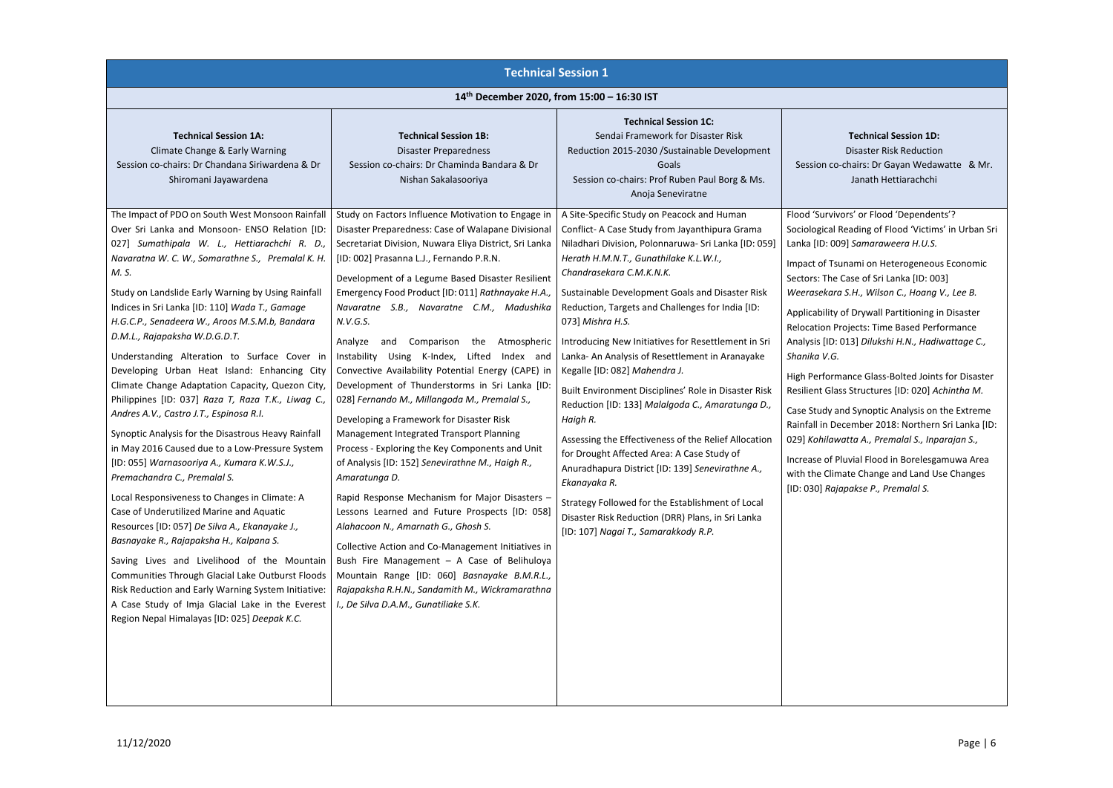### **Technical Session 1D:** Disaster Risk Reduction hairs: Dr Gayan Wedawatte & Mr. Janath Hettiarachchi

rs' or Flood 'Dependents'? eading of Flood 'Victims' in Urban Sri Lanka [ID: 009] *Samaraweera H.U.S.*

nami on Heterogeneous Economic Case of Sri Lanka [ID: 003] *Weerasekara S.H., Wilson C., Hoang V., Lee B.*

**F** Drywall Partitioning in Disaster Piects: Time Based Performance 13] Dilukshi H.N., Hadiwattage C.,

|                                                                                                                                                                                                                                                                                                                                                                                                                                                                                                                                                                                                                                                                                                                                                                                                                                                                                                                                                                                                                                                                                                                                                                                                                                                                                                                   | <b>Technical Session 1</b>                                                                                                                                                                                                                                                                                                                                                                                                                                                                                                                                                                                                                                                                                                                                                                                                                                                                                                                                                                                                                                                                                                                                                                                                                                    |                                                                                                                                                                                                                                                                                                                                                                                                                                                                                                                                                                                                                                                                                                                                                                                                                                                                                                                                                     |                                                                                                                                                                                                                                                                                                                                                        |
|-------------------------------------------------------------------------------------------------------------------------------------------------------------------------------------------------------------------------------------------------------------------------------------------------------------------------------------------------------------------------------------------------------------------------------------------------------------------------------------------------------------------------------------------------------------------------------------------------------------------------------------------------------------------------------------------------------------------------------------------------------------------------------------------------------------------------------------------------------------------------------------------------------------------------------------------------------------------------------------------------------------------------------------------------------------------------------------------------------------------------------------------------------------------------------------------------------------------------------------------------------------------------------------------------------------------|---------------------------------------------------------------------------------------------------------------------------------------------------------------------------------------------------------------------------------------------------------------------------------------------------------------------------------------------------------------------------------------------------------------------------------------------------------------------------------------------------------------------------------------------------------------------------------------------------------------------------------------------------------------------------------------------------------------------------------------------------------------------------------------------------------------------------------------------------------------------------------------------------------------------------------------------------------------------------------------------------------------------------------------------------------------------------------------------------------------------------------------------------------------------------------------------------------------------------------------------------------------|-----------------------------------------------------------------------------------------------------------------------------------------------------------------------------------------------------------------------------------------------------------------------------------------------------------------------------------------------------------------------------------------------------------------------------------------------------------------------------------------------------------------------------------------------------------------------------------------------------------------------------------------------------------------------------------------------------------------------------------------------------------------------------------------------------------------------------------------------------------------------------------------------------------------------------------------------------|--------------------------------------------------------------------------------------------------------------------------------------------------------------------------------------------------------------------------------------------------------------------------------------------------------------------------------------------------------|
|                                                                                                                                                                                                                                                                                                                                                                                                                                                                                                                                                                                                                                                                                                                                                                                                                                                                                                                                                                                                                                                                                                                                                                                                                                                                                                                   | 14th December 2020, from 15:00 - 16:30 IST                                                                                                                                                                                                                                                                                                                                                                                                                                                                                                                                                                                                                                                                                                                                                                                                                                                                                                                                                                                                                                                                                                                                                                                                                    |                                                                                                                                                                                                                                                                                                                                                                                                                                                                                                                                                                                                                                                                                                                                                                                                                                                                                                                                                     |                                                                                                                                                                                                                                                                                                                                                        |
| <b>Technical Session 1A:</b><br>Climate Change & Early Warning<br>Session co-chairs: Dr Chandana Siriwardena & Dr<br>Shiromani Jayawardena                                                                                                                                                                                                                                                                                                                                                                                                                                                                                                                                                                                                                                                                                                                                                                                                                                                                                                                                                                                                                                                                                                                                                                        | <b>Technical Session 1B:</b><br><b>Disaster Preparedness</b><br>Session co-chairs: Dr Chaminda Bandara & Dr<br>Nishan Sakalasooriya                                                                                                                                                                                                                                                                                                                                                                                                                                                                                                                                                                                                                                                                                                                                                                                                                                                                                                                                                                                                                                                                                                                           | <b>Technical Session 1C:</b><br>Sendai Framework for Disaster Risk<br>Reduction 2015-2030 /Sustainable Development<br>Goals<br>Session co-chairs: Prof Ruben Paul Borg & Ms.<br>Anoja Seneviratne                                                                                                                                                                                                                                                                                                                                                                                                                                                                                                                                                                                                                                                                                                                                                   | Session co-cl                                                                                                                                                                                                                                                                                                                                          |
| The Impact of PDO on South West Monsoon Rainfall<br>Over Sri Lanka and Monsoon- ENSO Relation [ID:<br>027] Sumathipala W. L., Hettiarachchi R. D.,<br>Navaratna W. C. W., Somarathne S., Premalal K. H.<br>M. S.<br>Study on Landslide Early Warning by Using Rainfall<br>Indices in Sri Lanka [ID: 110] Wada T., Gamage<br>H.G.C.P., Senadeera W., Aroos M.S.M.b, Bandara<br>D.M.L., Rajapaksha W.D.G.D.T.<br>Understanding Alteration to Surface Cover in<br>Developing Urban Heat Island: Enhancing City<br>Climate Change Adaptation Capacity, Quezon City,<br>Philippines [ID: 037] Raza T, Raza T.K., Liwag C.,<br>Andres A.V., Castro J.T., Espinosa R.I.<br>Synoptic Analysis for the Disastrous Heavy Rainfall<br>in May 2016 Caused due to a Low-Pressure System<br>[ID: 055] Warnasooriya A., Kumara K.W.S.J.,<br>Premachandra C., Premalal S.<br>Local Responsiveness to Changes in Climate: A<br>Case of Underutilized Marine and Aquatic<br>Resources [ID: 057] De Silva A., Ekanayake J.,<br>Basnayake R., Rajapaksha H., Kalpana S.<br>Saving Lives and Livelihood of the Mountain<br>Communities Through Glacial Lake Outburst Floods<br>Risk Reduction and Early Warning System Initiative:<br>A Case Study of Imja Glacial Lake in the Everest<br>Region Nepal Himalayas [ID: 025] Deepak K.C. | Study on Factors Influence Motivation to Engage in<br>Disaster Preparedness: Case of Walapane Divisional<br>Secretariat Division, Nuwara Eliya District, Sri Lanka<br>[ID: 002] Prasanna L.J., Fernando P.R.N.<br>Development of a Legume Based Disaster Resilient<br>Emergency Food Product [ID: 011] Rathnayake H.A.,<br>Navaratne S.B., Navaratne C.M., Madushika<br>N.V.G.S.<br>Analyze<br>Comparison<br>Atmospheric<br>the<br>and<br>Instability Using K-Index, Lifted<br>Index and<br>Convective Availability Potential Energy (CAPE) in<br>Development of Thunderstorms in Sri Lanka [ID:<br>028] Fernando M., Millangoda M., Premalal S.,<br>Developing a Framework for Disaster Risk<br>Management Integrated Transport Planning<br>Process - Exploring the Key Components and Unit<br>of Analysis [ID: 152] Senevirathne M., Haigh R.,<br>Amaratunga D.<br>Rapid Response Mechanism for Major Disasters -<br>Lessons Learned and Future Prospects [ID: 058]<br>Alahacoon N., Amarnath G., Ghosh S.<br>Collective Action and Co-Management Initiatives in<br>Bush Fire Management - A Case of Belihuloya<br>Mountain Range [ID: 060] Basnayake B.M.R.L.,<br>Rajapaksha R.H.N., Sandamith M., Wickramarathna<br>I., De Silva D.A.M., Gunatiliake S.K. | A Site-Specific Study on Peacock and Human<br>Conflict- A Case Study from Jayanthipura Grama<br>Niladhari Division, Polonnaruwa- Sri Lanka [ID: 059]<br>Herath H.M.N.T., Gunathilake K.L.W.I.,<br>Chandrasekara C.M.K.N.K.<br>Sustainable Development Goals and Disaster Risk<br>Reduction, Targets and Challenges for India [ID:<br>073] Mishra H.S.<br>Introducing New Initiatives for Resettlement in Sri<br>Lanka- An Analysis of Resettlement in Aranayake<br>Kegalle [ID: 082] Mahendra J.<br>Built Environment Disciplines' Role in Disaster Risk<br>Reduction [ID: 133] Malalgoda C., Amaratunga D.,<br>Haigh R.<br>Assessing the Effectiveness of the Relief Allocation<br>for Drought Affected Area: A Case Study of<br>Anuradhapura District [ID: 139] Senevirathne A.,<br>Ekanayaka R.<br>Strategy Followed for the Establishment of Local<br>Disaster Risk Reduction (DRR) Plans, in Sri Lanka<br>[ID: 107] Nagai T., Samarakkody R.P. | Flood 'Survivor<br>Sociological Re<br>Lanka [ID: 009]<br>Impact of Tsun<br>Sectors: The Ca<br>Weerasekara S<br>Applicability of<br><b>Relocation Pro</b><br>Analysis [ID: 01<br>Shanika V.G.<br>High Performa<br><b>Resilient Glass</b><br>Case Study and<br>Rainfall in Dece<br>029] Kohilawa<br>Increase of Plu<br>with the Clima<br>[ID: 030] Rajap |
|                                                                                                                                                                                                                                                                                                                                                                                                                                                                                                                                                                                                                                                                                                                                                                                                                                                                                                                                                                                                                                                                                                                                                                                                                                                                                                                   |                                                                                                                                                                                                                                                                                                                                                                                                                                                                                                                                                                                                                                                                                                                                                                                                                                                                                                                                                                                                                                                                                                                                                                                                                                                               |                                                                                                                                                                                                                                                                                                                                                                                                                                                                                                                                                                                                                                                                                                                                                                                                                                                                                                                                                     |                                                                                                                                                                                                                                                                                                                                                        |

ance Glass-Bolted Joints for Disaster Resilient Glass Structures [ID: 020] *Achintha M.*

d Synoptic Analysis on the Extreme ember 2018: Northern Sri Lanka [ID: 029] *Kohilawatta A., Premalal S., Inparajan S.,*

uvial Flood in Borelesgamuwa Area ate Change and Land Use Changes [ID: 030] *Rajapakse P., Premalal S.*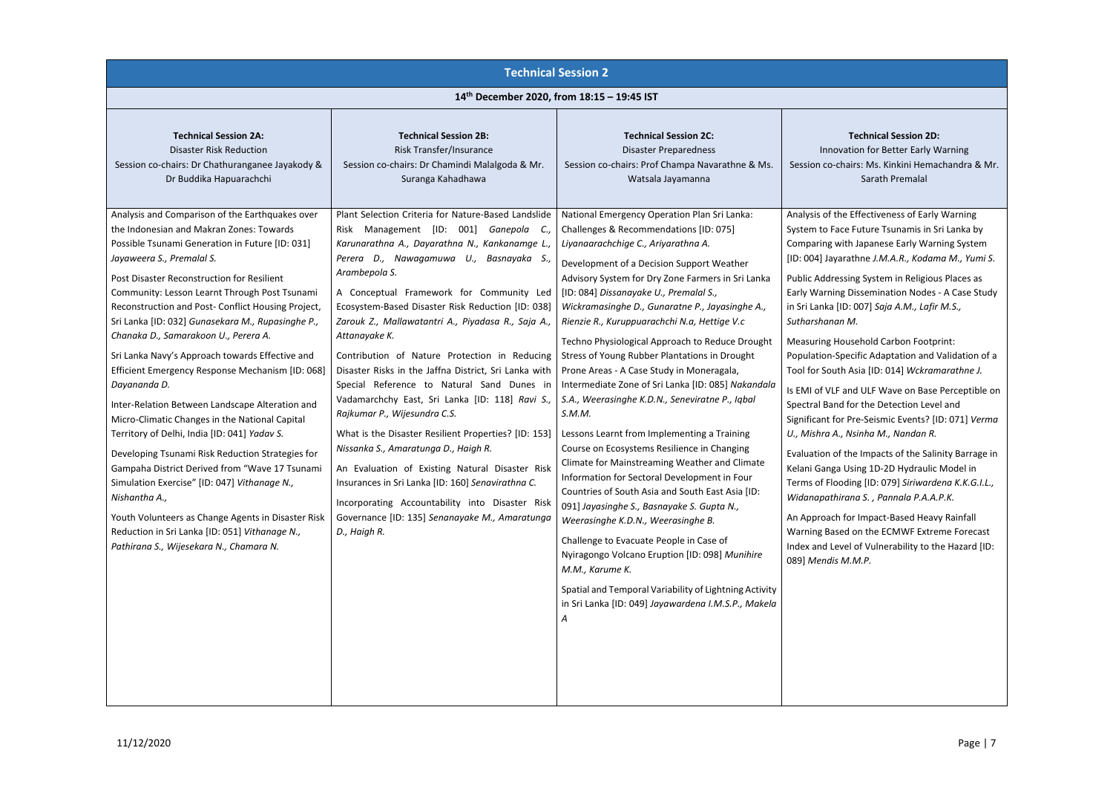ation for Better Early Warning airs: Ms. Kinkini Hemachandra & Mr. Sarath Premalal

### **Technical Session 2D:**

|                                                                                                                                                                                                                                                                                                                                                                                                                                                                                                                                                                                                    |                                                                                                                                                                                                                                                                                                                                                                                                                                                                                                                                                                      | <b>Technical Session 2</b>                                                                                                                                                                                                                                                                                                                                                                                                                                                                                                                                                                                                                                                                                                                                                                 |                                                                                                                                                                                                                                                           |
|----------------------------------------------------------------------------------------------------------------------------------------------------------------------------------------------------------------------------------------------------------------------------------------------------------------------------------------------------------------------------------------------------------------------------------------------------------------------------------------------------------------------------------------------------------------------------------------------------|----------------------------------------------------------------------------------------------------------------------------------------------------------------------------------------------------------------------------------------------------------------------------------------------------------------------------------------------------------------------------------------------------------------------------------------------------------------------------------------------------------------------------------------------------------------------|--------------------------------------------------------------------------------------------------------------------------------------------------------------------------------------------------------------------------------------------------------------------------------------------------------------------------------------------------------------------------------------------------------------------------------------------------------------------------------------------------------------------------------------------------------------------------------------------------------------------------------------------------------------------------------------------------------------------------------------------------------------------------------------------|-----------------------------------------------------------------------------------------------------------------------------------------------------------------------------------------------------------------------------------------------------------|
|                                                                                                                                                                                                                                                                                                                                                                                                                                                                                                                                                                                                    | 14th December 2020, from 18:15 - 19:45 IST                                                                                                                                                                                                                                                                                                                                                                                                                                                                                                                           |                                                                                                                                                                                                                                                                                                                                                                                                                                                                                                                                                                                                                                                                                                                                                                                            |                                                                                                                                                                                                                                                           |
| <b>Technical Session 2A:</b><br><b>Disaster Risk Reduction</b><br>Session co-chairs: Dr Chathuranganee Jayakody &<br>Dr Buddika Hapuarachchi<br>Analysis and Comparison of the Earthquakes over                                                                                                                                                                                                                                                                                                                                                                                                    | <b>Technical Session 2B:</b><br>Risk Transfer/Insurance<br>Session co-chairs: Dr Chamindi Malalgoda & Mr.<br>Suranga Kahadhawa<br>Plant Selection Criteria for Nature-Based Landslide                                                                                                                                                                                                                                                                                                                                                                                | <b>Technical Session 2C:</b><br><b>Disaster Preparedness</b><br>Session co-chairs: Prof Champa Navarathne & Ms.<br>Watsala Jayamanna<br>National Emergency Operation Plan Sri Lanka:                                                                                                                                                                                                                                                                                                                                                                                                                                                                                                                                                                                                       | Innova<br>Session co-ch<br>Analysis of the                                                                                                                                                                                                                |
| the Indonesian and Makran Zones: Towards<br>Possible Tsunami Generation in Future [ID: 031]<br>Jayaweera S., Premalal S.<br>Post Disaster Reconstruction for Resilient<br>Community: Lesson Learnt Through Post Tsunami<br>Reconstruction and Post- Conflict Housing Project,<br>Sri Lanka [ID: 032] Gunasekara M., Rupasinghe P.,<br>Chanaka D., Samarakoon U., Perera A.                                                                                                                                                                                                                         | Risk Management [ID: 001] Ganepola C.,<br>Karunarathna A., Dayarathna N., Kankanamge L.,<br>Perera D., Nawagamuwa U., Basnayaka S.,<br>Arambepola S.<br>A Conceptual Framework for Community Led<br>Ecosystem-Based Disaster Risk Reduction [ID: 038]<br>Zarouk Z., Mallawatantri A., Piyadasa R., Saja A.,<br>Attanayake K.                                                                                                                                                                                                                                         | Challenges & Recommendations [ID: 075]<br>Liyanaarachchige C., Ariyarathna A.<br>Development of a Decision Support Weather<br>Advisory System for Dry Zone Farmers in Sri Lanka<br>[ID: 084] Dissanayake U., Premalal S.,<br>Wickramasinghe D., Gunaratne P., Jayasinghe A.,<br>Rienzie R., Kuruppuarachchi N.a, Hettige V.c<br>Techno Physiological Approach to Reduce Drought                                                                                                                                                                                                                                                                                                                                                                                                            | System to Fac<br>Comparing wi<br>[ID: 004] Jayar<br><b>Public Address</b><br><b>Early Warning</b><br>in Sri Lanka [II<br>Sutharshanan<br><b>Measuring Ho</b>                                                                                              |
| Sri Lanka Navy's Approach towards Effective and<br>Efficient Emergency Response Mechanism [ID: 068]<br>Dayananda D.<br>Inter-Relation Between Landscape Alteration and<br>Micro-Climatic Changes in the National Capital<br>Territory of Delhi, India [ID: 041] Yadav S.<br>Developing Tsunami Risk Reduction Strategies for<br>Gampaha District Derived from "Wave 17 Tsunami<br>Simulation Exercise" [ID: 047] Vithanage N.,<br>Nishantha A.,<br>Youth Volunteers as Change Agents in Disaster Risk<br>Reduction in Sri Lanka [ID: 051] Vithanage N.,<br>Pathirana S., Wijesekara N., Chamara N. | Contribution of Nature Protection in Reducing<br>Disaster Risks in the Jaffna District, Sri Lanka with<br>Special Reference to Natural Sand Dunes in<br>Vadamarchchy East, Sri Lanka [ID: 118] Ravi S.,<br>Rajkumar P., Wijesundra C.S.<br>What is the Disaster Resilient Properties? [ID: 153]<br>Nissanka S., Amaratunga D., Haigh R.<br>An Evaluation of Existing Natural Disaster Risk<br>Insurances in Sri Lanka [ID: 160] Senavirathna C.<br>Incorporating Accountability into Disaster Risk<br>Governance [ID: 135] Senanayake M., Amaratunga<br>D., Haigh R. | Stress of Young Rubber Plantations in Drought<br>Prone Areas - A Case Study in Moneragala,<br>Intermediate Zone of Sri Lanka [ID: 085] Nakandala<br>S.A., Weerasinghe K.D.N., Seneviratne P., Iqbal<br>S.M.M.<br>Lessons Learnt from Implementing a Training<br>Course on Ecosystems Resilience in Changing<br>Climate for Mainstreaming Weather and Climate<br>Information for Sectoral Development in Four<br>Countries of South Asia and South East Asia [ID:<br>091] Jayasinghe S., Basnayake S. Gupta N.,<br>Weerasinghe K.D.N., Weerasinghe B.<br>Challenge to Evacuate People in Case of<br>Nyiragongo Volcano Eruption [ID: 098] Munihire<br>M.M., Karume K.<br>Spatial and Temporal Variability of Lightning Activity<br>in Sri Lanka [ID: 049] Jayawardena I.M.S.P., Makela<br>A | Population-Sp<br>Tool for South<br>Is EMI of VLF a<br>Spectral Band<br>Significant for<br>U., Mishra A.,<br>Evaluation of t<br>Kelani Ganga I<br>Terms of Floor<br>Widanapathir<br>An Approach f<br><b>Warning Base</b><br>Index and Lev<br>089] Mendis N |

e Effectiveness of Early Warning e Future Tsunamis in Sri Lanka by ith Japanese Early Warning System [ID: 004] Jayarathne *J.M.A.R., Kodama M., Yumi S.*

sing System in Religious Places as **Dissemination Nodes - A Case Study** D: 007] *Saja A.M., Lafir M.S., Sutharshanan M.*

usehold Carbon Footprint: ecific Adaptation and Validation of a Tool for South Asia [ID: 014] *Wckramarathne J.*

and ULF Wave on Base Perceptible on for the Detection Level and Pre-Seismic Events? [ID: 071] *Verma U., Mishra A., Nsinha M., Nandan R.*

the Impacts of the Salinity Barrage in Using 1D-2D Hydraulic Model in ding [ID: 079] *Siriwardena K.K.G.I.L., Widanapathirana S. , Pannala P.A.A.P.K.*

for Impact-Based Heavy Rainfall ed on the ECMWF Extreme Forecast el of Vulnerability to the Hazard [ID: 089] *Mendis M.M.P.*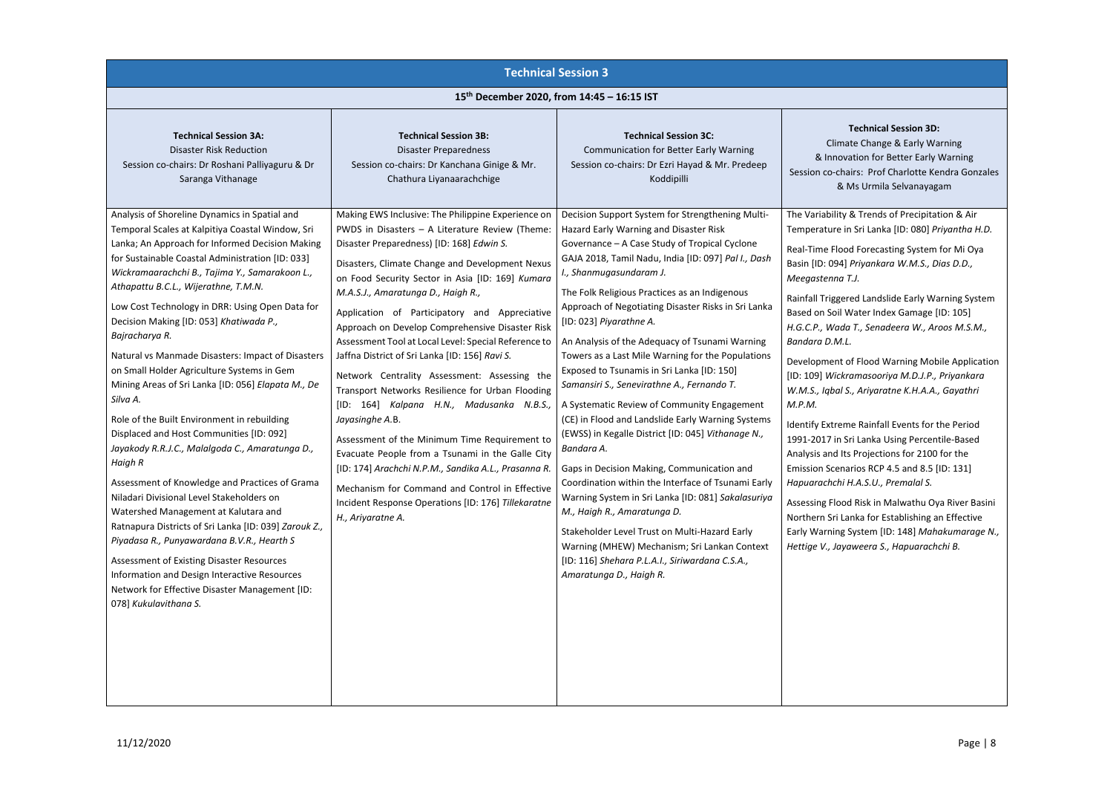### **Technical Session 3D:** ate Change & Early Warning vation for Better Early Warning airs: Prof Charlotte Kendra Gonzales & Ms Urmila Selvanayagam

& Trends of Precipitation & Air in Sri Lanka [ID: 080] *Priyantha H.D.* 

od Forecasting System for Mi Oya Basin [ID: 094] *Priyankara W.M.S., Dias D.D., Meegastenna T.J.*

red Landslide Early Warning System Water Index Gamage [ID: 105] *H.G.C.P., Wada T., Senadeera W., Aroos M.S.M.,* 

of Flood Warning Mobile Application [ID: 109] *Wickramasooriya M.D.J.P., Priyankara W.M.S., Iqbal S., Ariyaratne K.H.A.A., Gayathri* 

me Rainfall Events for the Period Sri Lanka Using Percentile-Based ts Projections for 2100 for the arios RCP 4.5 and 8.5  $[ID: 131]$ *H.A.S.U., Premalal S.* 

|                                                                                                                                                                                                                                                                                                                                                                                                                                                                                                                                                                                                                                                                                             | <b>Technical Session 3</b>                                                                                                                                                                                                                                                                                                                                                                                                                                                                                                                                                                                                                                |                                                                                                                                                                                                                                                                                                                                                                                                                                                                                                                                                                                                                                          |                                                                                                                                                                                                                                                                 |
|---------------------------------------------------------------------------------------------------------------------------------------------------------------------------------------------------------------------------------------------------------------------------------------------------------------------------------------------------------------------------------------------------------------------------------------------------------------------------------------------------------------------------------------------------------------------------------------------------------------------------------------------------------------------------------------------|-----------------------------------------------------------------------------------------------------------------------------------------------------------------------------------------------------------------------------------------------------------------------------------------------------------------------------------------------------------------------------------------------------------------------------------------------------------------------------------------------------------------------------------------------------------------------------------------------------------------------------------------------------------|------------------------------------------------------------------------------------------------------------------------------------------------------------------------------------------------------------------------------------------------------------------------------------------------------------------------------------------------------------------------------------------------------------------------------------------------------------------------------------------------------------------------------------------------------------------------------------------------------------------------------------------|-----------------------------------------------------------------------------------------------------------------------------------------------------------------------------------------------------------------------------------------------------------------|
|                                                                                                                                                                                                                                                                                                                                                                                                                                                                                                                                                                                                                                                                                             | 15th December 2020, from 14:45 - 16:15 IST                                                                                                                                                                                                                                                                                                                                                                                                                                                                                                                                                                                                                |                                                                                                                                                                                                                                                                                                                                                                                                                                                                                                                                                                                                                                          |                                                                                                                                                                                                                                                                 |
| <b>Technical Session 3A:</b><br><b>Disaster Risk Reduction</b><br>Session co-chairs: Dr Roshani Palliyaguru & Dr<br>Saranga Vithanage<br>Analysis of Shoreline Dynamics in Spatial and<br>Temporal Scales at Kalpitiya Coastal Window, Sri<br>Lanka; An Approach for Informed Decision Making<br>for Sustainable Coastal Administration [ID: 033]<br>Wickramaarachchi B., Tajima Y., Samarakoon L.,<br>Athapattu B.C.L., Wijerathne, T.M.N.<br>Low Cost Technology in DRR: Using Open Data for<br>Decision Making [ID: 053] Khatiwada P.,<br>Bajracharya R.<br>Natural vs Manmade Disasters: Impact of Disasters                                                                            | <b>Technical Session 3B:</b><br><b>Disaster Preparedness</b><br>Session co-chairs: Dr Kanchana Ginige & Mr.<br>Chathura Liyanaarachchige<br>Making EWS Inclusive: The Philippine Experience on<br>PWDS in Disasters - A Literature Review (Theme:<br>Disaster Preparedness) [ID: 168] Edwin S.<br>Disasters, Climate Change and Development Nexus<br>on Food Security Sector in Asia [ID: 169] Kumara<br>M.A.S.J., Amaratunga D., Haigh R.,<br>Application of Participatory and Appreciative<br>Approach on Develop Comprehensive Disaster Risk<br>Assessment Tool at Local Level: Special Reference to<br>Jaffna District of Sri Lanka [ID: 156] Ravi S. | <b>Technical Session 3C:</b><br><b>Communication for Better Early Warning</b><br>Session co-chairs: Dr Ezri Hayad & Mr. Predeep<br>Koddipilli<br>Decision Support System for Strengthening Multi-<br>Hazard Early Warning and Disaster Risk<br>Governance - A Case Study of Tropical Cyclone<br>GAJA 2018, Tamil Nadu, India [ID: 097] Pal I., Dash<br>I., Shanmugasundaram J.<br>The Folk Religious Practices as an Indigenous<br>Approach of Negotiating Disaster Risks in Sri Lanka<br>[ID: 023] Piyarathne A.<br>An Analysis of the Adequacy of Tsunami Warning<br>Towers as a Last Mile Warning for the Populations                 | Climat<br>& Innova<br>Session co-cha<br>8N<br>The Variability &<br>Temperature in<br>Real-Time Flood<br>Basin [ID: 094]<br>Meegastenna T<br>Rainfall Trigger<br>Based on Soil W<br>H.G.C.P., Wada<br>Bandara D.M.L.                                             |
| on Small Holder Agriculture Systems in Gem<br>Mining Areas of Sri Lanka [ID: 056] Elapata M., De<br>Silva A.<br>Role of the Built Environment in rebuilding<br>Displaced and Host Communities [ID: 092]<br>Jayakody R.R.J.C., Malalgoda C., Amaratunga D.,<br>Haigh R<br>Assessment of Knowledge and Practices of Grama<br>Niladari Divisional Level Stakeholders on<br>Watershed Management at Kalutara and<br>Ratnapura Districts of Sri Lanka [ID: 039] Zarouk Z.,<br>Piyadasa R., Punyawardana B.V.R., Hearth S<br>Assessment of Existing Disaster Resources<br>Information and Design Interactive Resources<br>Network for Effective Disaster Management [ID:<br>078] Kukulavithana S. | Network Centrality Assessment: Assessing the<br>Transport Networks Resilience for Urban Flooding<br>[ID: 164] Kalpana H.N., Madusanka N.B.S.,<br>Jayasinghe A.B.<br>Assessment of the Minimum Time Requirement to<br>Evacuate People from a Tsunami in the Galle City<br>[ID: 174] Arachchi N.P.M., Sandika A.L., Prasanna R.<br>Mechanism for Command and Control in Effective<br>Incident Response Operations [ID: 176] Tillekaratne<br>H., Ariyaratne A.                                                                                                                                                                                               | Exposed to Tsunamis in Sri Lanka [ID: 150]<br>Samansiri S., Senevirathne A., Fernando T.<br>A Systematic Review of Community Engagement<br>(CE) in Flood and Landslide Early Warning Systems<br>(EWSS) in Kegalle District [ID: 045] Vithanage N.,<br>Bandara A.<br>Gaps in Decision Making, Communication and<br>Coordination within the Interface of Tsunami Early<br>Warning System in Sri Lanka [ID: 081] Sakalasuriya<br>M., Haigh R., Amaratunga D.<br>Stakeholder Level Trust on Multi-Hazard Early<br>Warning (MHEW) Mechanism; Sri Lankan Context<br>[ID: 116] Shehara P.L.A.I., Siriwardana C.S.A.,<br>Amaratunga D., Haigh R. | Development o<br>[ID: 109] Wickro<br>W.M.S., Iqbal S.<br>M.P.M.<br><b>Identify Extrem</b><br>1991-2017 in Sr<br>Analysis and Its<br><b>Emission Scena</b><br>Hapuarachchi H<br><b>Assessing Flood</b><br>Northern Sri La<br>Early Warning S<br>Hettige V., Jaya |

d Risk in Malwathu Oya River Basini anka for Establishing an Effective Early System [ID: 148] *Mahakumarage N., Hettige V., Jayaweera S., Hapuarachchi B.*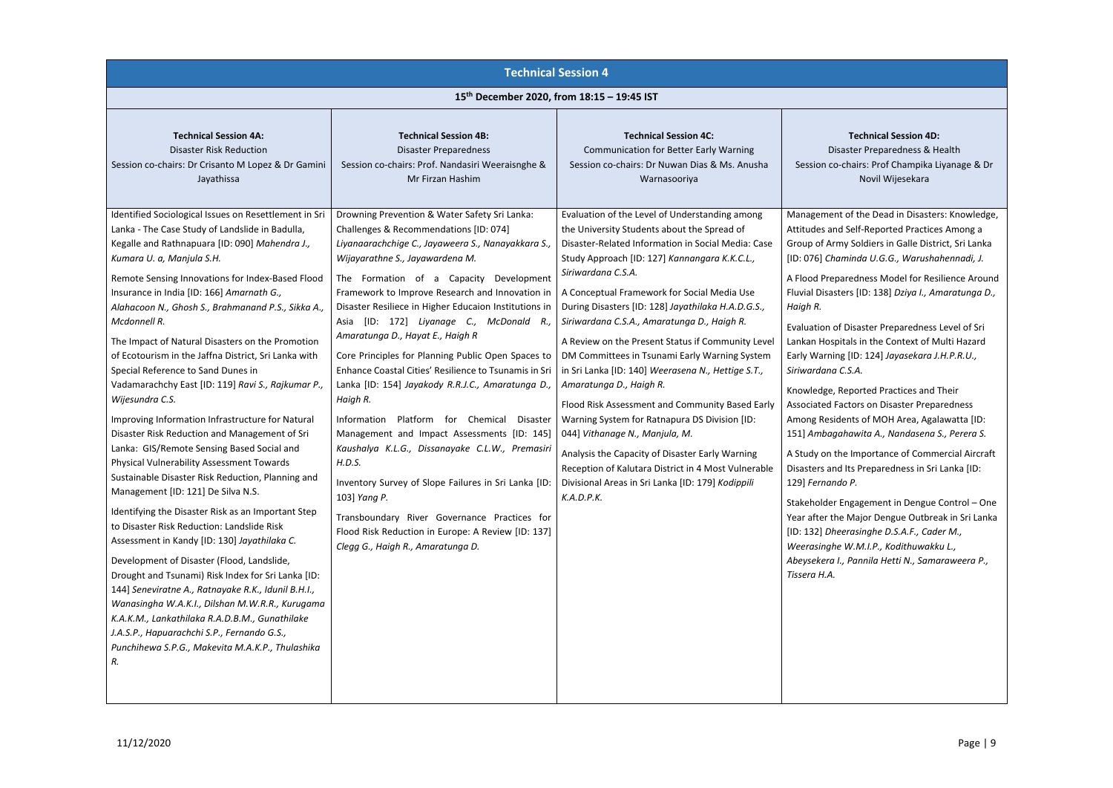ster Preparedness & Health chairs: Prof Champika Liyanage & Dr Novil Wijesekara

### **Technical Session 4D:**

of the Dead in Disasters: Knowledge, Self-Reported Practices Among a Goldiers in Galle District, Sri Lanka [ID: 076] *Chaminda U.G.G., Warushahennadi, J.*

redness Model for Resilience Around Fluvial Disasters [ID: 138] *Dziya I., Amaratunga D.,* 

Disaster Preparedness Level of Sri tals in the Context of Multi Hazard Early Warning [ID: 124] *Jayasekara J.H.P.R.U., Siriwardana C.S.A.*

eported Practices and Their ctors on Disaster Preparedness ents of MOH Area, Agalawatta [ID: 151] *Ambagahawita A., Nandasena S., Perera S.*

**Importance of Commercial Aircraft** Its Preparedness in Sri Lanka [ID:  $P<sub>r</sub>$ 

ngagement in Dengue Control – One Major Dengue Outbreak in Sri Lanka [ID: 132] *Dheerasinghe D.S.A.F., Cader M.,* 

*W.M.I.P., Kodithuwakku L.,* 

|                                                                                                                                                                                                                                                                                                                                                                                                                                                                                                                                                                                                                                                                                                                                                                                                                                                                                                                                 |                                                                                                                                                                                                                                                                                                                                                                                                                                                                                                                                                                                                                                                                                                                                                                                                                                                                                                                    | <b>Technical Session 4</b>                                                                                                                                                                                                                                                                                                                                                                                                                                                                                                                                                                                                                                                                                                                                                                                                                                                                                       |                                                                                                                                                                                                                                                                                                                  |  |
|---------------------------------------------------------------------------------------------------------------------------------------------------------------------------------------------------------------------------------------------------------------------------------------------------------------------------------------------------------------------------------------------------------------------------------------------------------------------------------------------------------------------------------------------------------------------------------------------------------------------------------------------------------------------------------------------------------------------------------------------------------------------------------------------------------------------------------------------------------------------------------------------------------------------------------|--------------------------------------------------------------------------------------------------------------------------------------------------------------------------------------------------------------------------------------------------------------------------------------------------------------------------------------------------------------------------------------------------------------------------------------------------------------------------------------------------------------------------------------------------------------------------------------------------------------------------------------------------------------------------------------------------------------------------------------------------------------------------------------------------------------------------------------------------------------------------------------------------------------------|------------------------------------------------------------------------------------------------------------------------------------------------------------------------------------------------------------------------------------------------------------------------------------------------------------------------------------------------------------------------------------------------------------------------------------------------------------------------------------------------------------------------------------------------------------------------------------------------------------------------------------------------------------------------------------------------------------------------------------------------------------------------------------------------------------------------------------------------------------------------------------------------------------------|------------------------------------------------------------------------------------------------------------------------------------------------------------------------------------------------------------------------------------------------------------------------------------------------------------------|--|
|                                                                                                                                                                                                                                                                                                                                                                                                                                                                                                                                                                                                                                                                                                                                                                                                                                                                                                                                 | 15 <sup>th</sup> December 2020, from 18:15 - 19:45 IST                                                                                                                                                                                                                                                                                                                                                                                                                                                                                                                                                                                                                                                                                                                                                                                                                                                             |                                                                                                                                                                                                                                                                                                                                                                                                                                                                                                                                                                                                                                                                                                                                                                                                                                                                                                                  |                                                                                                                                                                                                                                                                                                                  |  |
| <b>Technical Session 4A:</b><br><b>Disaster Risk Reduction</b><br>Session co-chairs: Dr Crisanto M Lopez & Dr Gamini<br>Jayathissa<br>Identified Sociological Issues on Resettlement in Sri<br>Lanka - The Case Study of Landslide in Badulla,<br>Kegalle and Rathnapuara [ID: 090] Mahendra J.,<br>Kumara U. a, Manjula S.H.<br>Remote Sensing Innovations for Index-Based Flood<br>Insurance in India [ID: 166] Amarnath G.,<br>Alahacoon N., Ghosh S., Brahmanand P.S., Sikka A.,<br>Mcdonnell R.<br>The Impact of Natural Disasters on the Promotion<br>of Ecotourism in the Jaffna District, Sri Lanka with<br>Special Reference to Sand Dunes in<br>Vadamarachchy East [ID: 119] Ravi S., Rajkumar P.,<br>Wijesundra C.S.<br>Improving Information Infrastructure for Natural<br>Disaster Risk Reduction and Management of Sri<br>Lanka: GIS/Remote Sensing Based Social and<br>Physical Vulnerability Assessment Towards | <b>Technical Session 4B:</b><br><b>Disaster Preparedness</b><br>Session co-chairs: Prof. Nandasiri Weeraisnghe &<br>Mr Firzan Hashim<br>Drowning Prevention & Water Safety Sri Lanka:<br>Challenges & Recommendations [ID: 074]<br>Liyanaarachchige C., Jayaweera S., Nanayakkara S.,<br>Wijayarathne S., Jayawardena M.<br>The Formation of a Capacity<br>Development<br>Framework to Improve Research and Innovation in<br>Disaster Resiliece in Higher Educaion Institutions in<br>[ID: 172] Liyanage C., McDonald R.,<br>Asia<br>Amaratunga D., Hayat E., Haigh R<br>Core Principles for Planning Public Open Spaces to<br>Enhance Coastal Cities' Resilience to Tsunamis in Sri<br>Lanka [ID: 154] Jayakody R.R.J.C., Amaratunga D.,<br>Haigh R.<br>Information Platform for Chemical<br>Disaster<br>Management and Impact Assessments [ID: 145]<br>Kaushalya K.L.G., Dissanayake C.L.W., Premasiri<br>H.D.S. | <b>Technical Session 4C:</b><br><b>Communication for Better Early Warning</b><br>Session co-chairs: Dr Nuwan Dias & Ms. Anusha<br>Warnasooriya<br>Evaluation of the Level of Understanding among<br>the University Students about the Spread of<br>Disaster-Related Information in Social Media: Case<br>Study Approach [ID: 127] Kannangara K.K.C.L.,<br>Siriwardana C.S.A.<br>A Conceptual Framework for Social Media Use<br>During Disasters [ID: 128] Jayathilaka H.A.D.G.S.,<br>Siriwardana C.S.A., Amaratunga D., Haigh R.<br>A Review on the Present Status if Community Level<br>DM Committees in Tsunami Early Warning System<br>in Sri Lanka [ID: 140] Weerasena N., Hettige S.T.,<br>Amaratunga D., Haigh R.<br>Flood Risk Assessment and Community Based Early<br>Warning System for Ratnapura DS Division [ID:<br>044] Vithanage N., Manjula, M.<br>Analysis the Capacity of Disaster Early Warning | Disas<br>Session co-cl<br>Management<br>Attitudes and !<br>Group of Army<br>[ID: 076] Cham<br>A Flood Prepar<br>Fluvial Disaster<br>Haigh R.<br>Evaluation of D<br>Lankan Hospita<br>Early Warning<br>Siriwardana C.<br>Knowledge, Re<br><b>Associated Fac</b><br>Among Reside<br>151] Ambagah<br>A Study on the |  |
| Sustainable Disaster Risk Reduction, Planning and<br>Management [ID: 121] De Silva N.S.<br>Identifying the Disaster Risk as an Important Step<br>to Disaster Risk Reduction: Landslide Risk<br>Assessment in Kandy [ID: 130] Jayathilaka C.<br>Development of Disaster (Flood, Landslide,<br>Drought and Tsunami) Risk Index for Sri Lanka [ID:<br>144] Seneviratne A., Ratnayake R.K., Idunil B.H.I.,<br>Wanasingha W.A.K.I., Dilshan M.W.R.R., Kurugama<br>K.A.K.M., Lankathilaka R.A.D.B.M., Gunathilake<br>J.A.S.P., Hapuarachchi S.P., Fernando G.S.,<br>Punchihewa S.P.G., Makevita M.A.K.P., Thulashika<br>R.                                                                                                                                                                                                                                                                                                            | Inventory Survey of Slope Failures in Sri Lanka [ID:<br>103] Yang P.<br>Transboundary River Governance Practices for<br>Flood Risk Reduction in Europe: A Review [ID: 137]<br>Clegg G., Haigh R., Amaratunga D.                                                                                                                                                                                                                                                                                                                                                                                                                                                                                                                                                                                                                                                                                                    | Reception of Kalutara District in 4 Most Vulnerable<br>Divisional Areas in Sri Lanka [ID: 179] Kodippili<br>K.A.D.P.K.                                                                                                                                                                                                                                                                                                                                                                                                                                                                                                                                                                                                                                                                                                                                                                                           | Disasters and I<br>129] Fernando<br>Stakeholder Er<br>Year after the<br>[ID: 132] Dhee.<br>Weerasinghe \<br>Abeysekera I.,<br>Tissera H.A.                                                                                                                                                                       |  |

*Abeysekera I., Pannila Hetti N., Samaraweera P.,*